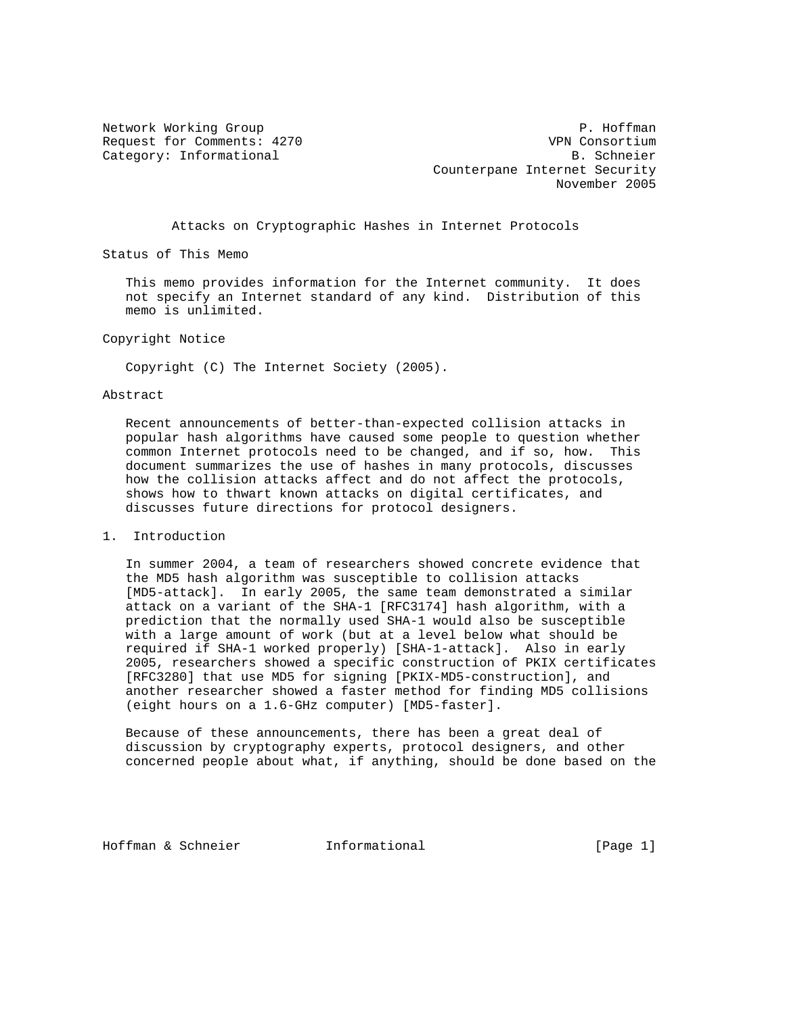Network Working Group **P. Hoffman** Request for Comments: 4270 VPN Consortium Category: Informational and B. Schneier Counterpane Internet Security November 2005

Attacks on Cryptographic Hashes in Internet Protocols

Status of This Memo

 This memo provides information for the Internet community. It does not specify an Internet standard of any kind. Distribution of this memo is unlimited.

Copyright Notice

Copyright (C) The Internet Society (2005).

## Abstract

 Recent announcements of better-than-expected collision attacks in popular hash algorithms have caused some people to question whether common Internet protocols need to be changed, and if so, how. This document summarizes the use of hashes in many protocols, discusses how the collision attacks affect and do not affect the protocols, shows how to thwart known attacks on digital certificates, and discusses future directions for protocol designers.

## 1. Introduction

 In summer 2004, a team of researchers showed concrete evidence that the MD5 hash algorithm was susceptible to collision attacks [MD5-attack]. In early 2005, the same team demonstrated a similar attack on a variant of the SHA-1 [RFC3174] hash algorithm, with a prediction that the normally used SHA-1 would also be susceptible with a large amount of work (but at a level below what should be required if SHA-1 worked properly) [SHA-1-attack]. Also in early 2005, researchers showed a specific construction of PKIX certificates [RFC3280] that use MD5 for signing [PKIX-MD5-construction], and another researcher showed a faster method for finding MD5 collisions (eight hours on a 1.6-GHz computer) [MD5-faster].

 Because of these announcements, there has been a great deal of discussion by cryptography experts, protocol designers, and other concerned people about what, if anything, should be done based on the

Hoffman & Schneier **Informational** [Page 1]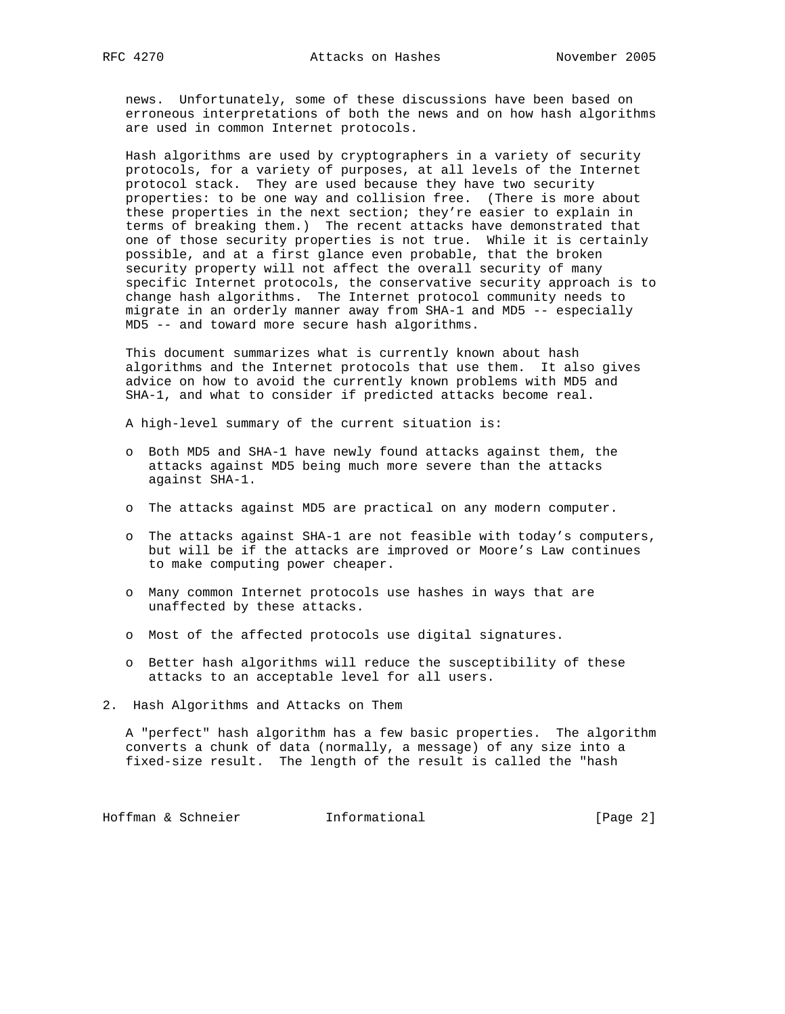news. Unfortunately, some of these discussions have been based on erroneous interpretations of both the news and on how hash algorithms are used in common Internet protocols.

 Hash algorithms are used by cryptographers in a variety of security protocols, for a variety of purposes, at all levels of the Internet protocol stack. They are used because they have two security properties: to be one way and collision free. (There is more about these properties in the next section; they're easier to explain in terms of breaking them.) The recent attacks have demonstrated that one of those security properties is not true. While it is certainly possible, and at a first glance even probable, that the broken security property will not affect the overall security of many specific Internet protocols, the conservative security approach is to change hash algorithms. The Internet protocol community needs to migrate in an orderly manner away from SHA-1 and MD5 -- especially MD5 -- and toward more secure hash algorithms.

 This document summarizes what is currently known about hash algorithms and the Internet protocols that use them. It also gives advice on how to avoid the currently known problems with MD5 and SHA-1, and what to consider if predicted attacks become real.

A high-level summary of the current situation is:

- o Both MD5 and SHA-1 have newly found attacks against them, the attacks against MD5 being much more severe than the attacks against SHA-1.
- o The attacks against MD5 are practical on any modern computer.
- o The attacks against SHA-1 are not feasible with today's computers, but will be if the attacks are improved or Moore's Law continues to make computing power cheaper.
- o Many common Internet protocols use hashes in ways that are unaffected by these attacks.
- o Most of the affected protocols use digital signatures.
- o Better hash algorithms will reduce the susceptibility of these attacks to an acceptable level for all users.
- 2. Hash Algorithms and Attacks on Them

 A "perfect" hash algorithm has a few basic properties. The algorithm converts a chunk of data (normally, a message) of any size into a fixed-size result. The length of the result is called the "hash

Hoffman & Schneier **Informational Informational** [Page 2]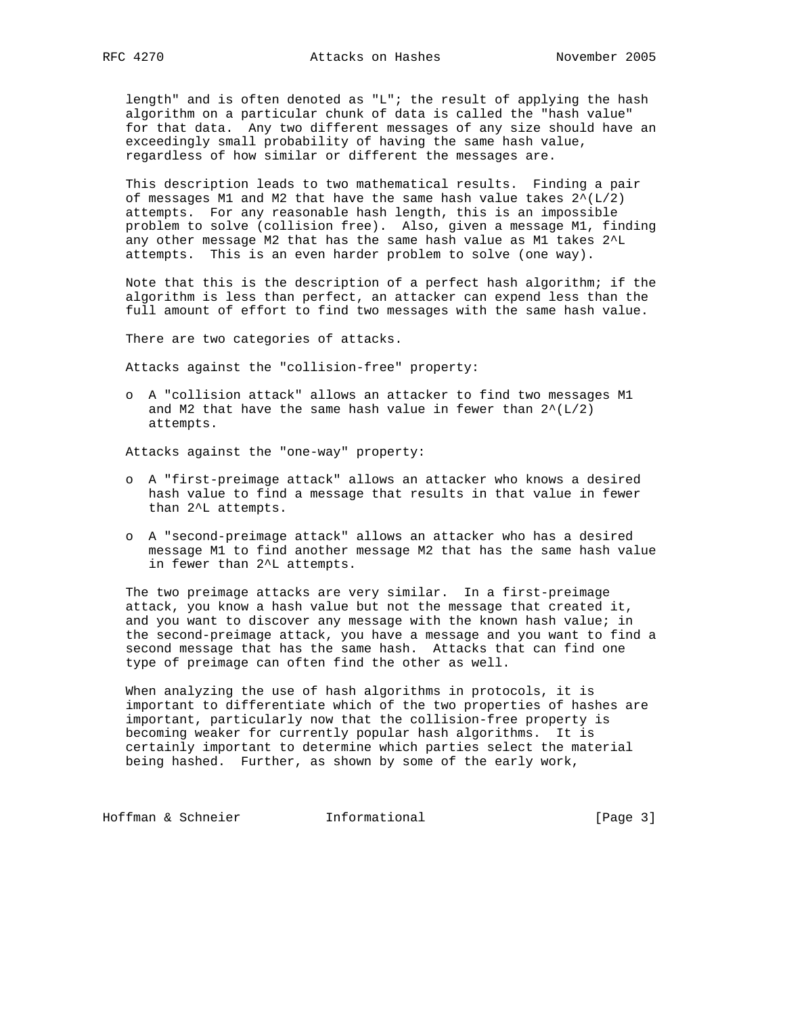length" and is often denoted as "L"; the result of applying the hash algorithm on a particular chunk of data is called the "hash value" for that data. Any two different messages of any size should have an exceedingly small probability of having the same hash value, regardless of how similar or different the messages are.

 This description leads to two mathematical results. Finding a pair of messages M1 and M2 that have the same hash value takes  $2^{(L/2)}$  attempts. For any reasonable hash length, this is an impossible problem to solve (collision free). Also, given a message M1, finding any other message M2 that has the same hash value as M1 takes 2^L attempts. This is an even harder problem to solve (one way).

 Note that this is the description of a perfect hash algorithm; if the algorithm is less than perfect, an attacker can expend less than the full amount of effort to find two messages with the same hash value.

There are two categories of attacks.

Attacks against the "collision-free" property:

 o A "collision attack" allows an attacker to find two messages M1 and M2 that have the same hash value in fewer than  $2^{(L/2)}$ attempts.

Attacks against the "one-way" property:

- o A "first-preimage attack" allows an attacker who knows a desired hash value to find a message that results in that value in fewer than 2^L attempts.
- o A "second-preimage attack" allows an attacker who has a desired message M1 to find another message M2 that has the same hash value in fewer than 2^L attempts.

 The two preimage attacks are very similar. In a first-preimage attack, you know a hash value but not the message that created it, and you want to discover any message with the known hash value; in the second-preimage attack, you have a message and you want to find a second message that has the same hash. Attacks that can find one type of preimage can often find the other as well.

 When analyzing the use of hash algorithms in protocols, it is important to differentiate which of the two properties of hashes are important, particularly now that the collision-free property is becoming weaker for currently popular hash algorithms. It is certainly important to determine which parties select the material being hashed. Further, as shown by some of the early work,

Hoffman & Schneier **Informational Informational** [Page 3]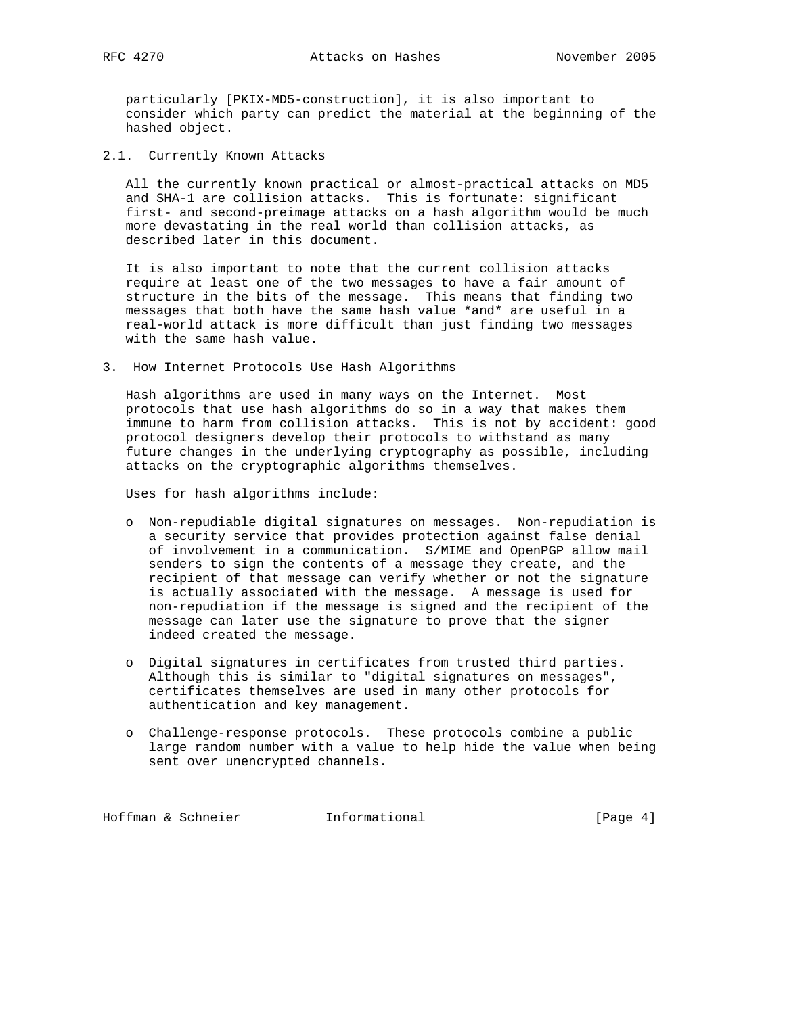particularly [PKIX-MD5-construction], it is also important to consider which party can predict the material at the beginning of the hashed object.

2.1. Currently Known Attacks

 All the currently known practical or almost-practical attacks on MD5 and SHA-1 are collision attacks. This is fortunate: significant first- and second-preimage attacks on a hash algorithm would be much more devastating in the real world than collision attacks, as described later in this document.

 It is also important to note that the current collision attacks require at least one of the two messages to have a fair amount of structure in the bits of the message. This means that finding two messages that both have the same hash value \*and\* are useful in a real-world attack is more difficult than just finding two messages with the same hash value.

3. How Internet Protocols Use Hash Algorithms

 Hash algorithms are used in many ways on the Internet. Most protocols that use hash algorithms do so in a way that makes them immune to harm from collision attacks. This is not by accident: good protocol designers develop their protocols to withstand as many future changes in the underlying cryptography as possible, including attacks on the cryptographic algorithms themselves.

Uses for hash algorithms include:

- o Non-repudiable digital signatures on messages. Non-repudiation is a security service that provides protection against false denial of involvement in a communication. S/MIME and OpenPGP allow mail senders to sign the contents of a message they create, and the recipient of that message can verify whether or not the signature is actually associated with the message. A message is used for non-repudiation if the message is signed and the recipient of the message can later use the signature to prove that the signer indeed created the message.
- o Digital signatures in certificates from trusted third parties. Although this is similar to "digital signatures on messages", certificates themselves are used in many other protocols for authentication and key management.
- o Challenge-response protocols. These protocols combine a public large random number with a value to help hide the value when being sent over unencrypted channels.

Hoffman & Schneier **Informational Informational** [Page 4]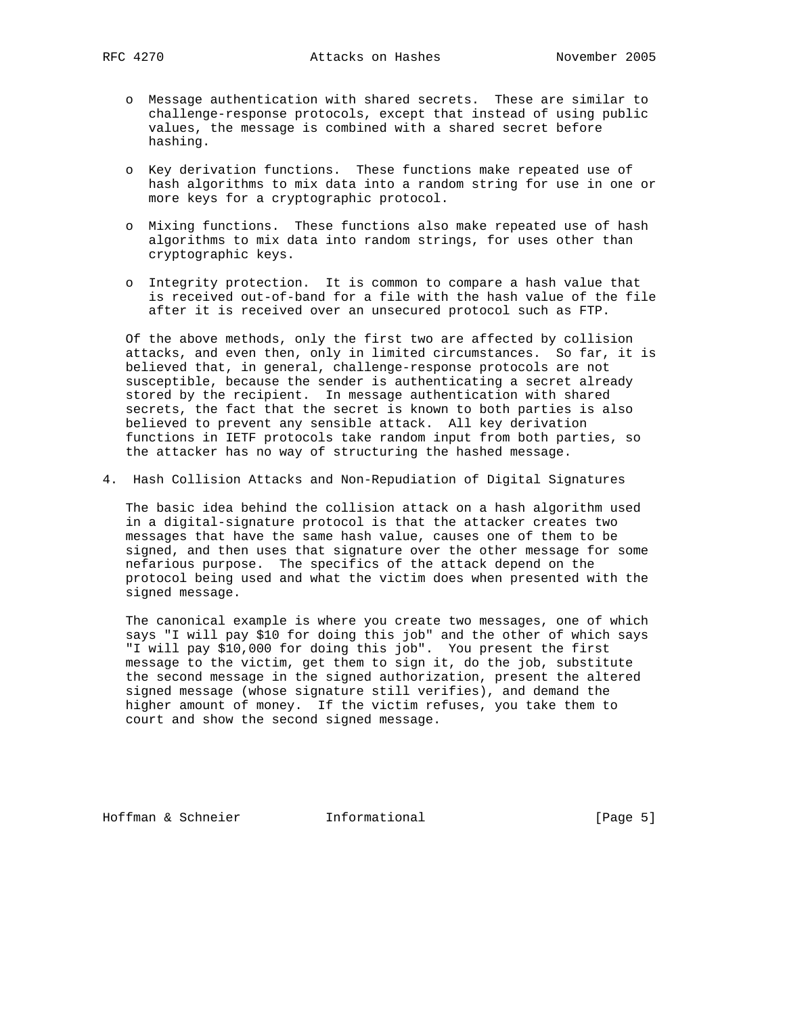- o Message authentication with shared secrets. These are similar to challenge-response protocols, except that instead of using public values, the message is combined with a shared secret before hashing.
- o Key derivation functions. These functions make repeated use of hash algorithms to mix data into a random string for use in one or more keys for a cryptographic protocol.
- o Mixing functions. These functions also make repeated use of hash algorithms to mix data into random strings, for uses other than cryptographic keys.
- o Integrity protection. It is common to compare a hash value that is received out-of-band for a file with the hash value of the file after it is received over an unsecured protocol such as FTP.

 Of the above methods, only the first two are affected by collision attacks, and even then, only in limited circumstances. So far, it is believed that, in general, challenge-response protocols are not susceptible, because the sender is authenticating a secret already stored by the recipient. In message authentication with shared secrets, the fact that the secret is known to both parties is also believed to prevent any sensible attack. All key derivation functions in IETF protocols take random input from both parties, so the attacker has no way of structuring the hashed message.

4. Hash Collision Attacks and Non-Repudiation of Digital Signatures

 The basic idea behind the collision attack on a hash algorithm used in a digital-signature protocol is that the attacker creates two messages that have the same hash value, causes one of them to be signed, and then uses that signature over the other message for some nefarious purpose. The specifics of the attack depend on the protocol being used and what the victim does when presented with the signed message.

 The canonical example is where you create two messages, one of which says "I will pay \$10 for doing this job" and the other of which says "I will pay \$10,000 for doing this job". You present the first message to the victim, get them to sign it, do the job, substitute the second message in the signed authorization, present the altered signed message (whose signature still verifies), and demand the higher amount of money. If the victim refuses, you take them to court and show the second signed message.

Hoffman & Schneier **Informational** [Page 5]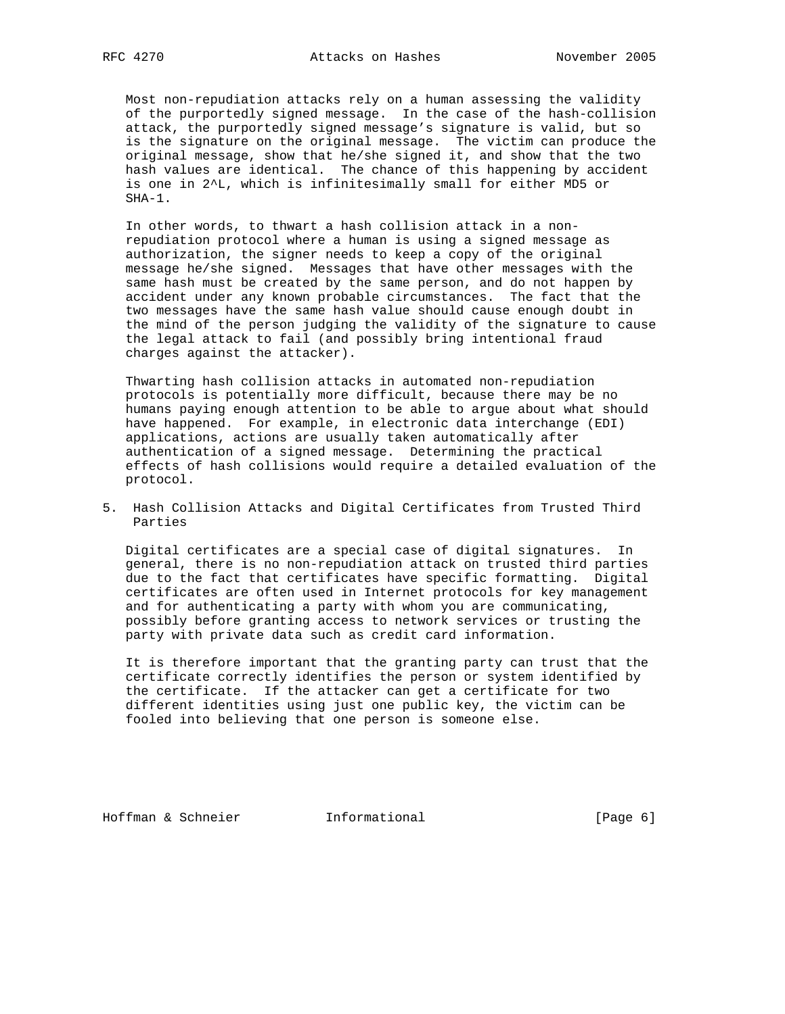Most non-repudiation attacks rely on a human assessing the validity of the purportedly signed message. In the case of the hash-collision attack, the purportedly signed message's signature is valid, but so is the signature on the original message. The victim can produce the original message, show that he/she signed it, and show that the two hash values are identical. The chance of this happening by accident is one in 2^L, which is infinitesimally small for either MD5 or SHA-1.

 In other words, to thwart a hash collision attack in a non repudiation protocol where a human is using a signed message as authorization, the signer needs to keep a copy of the original message he/she signed. Messages that have other messages with the same hash must be created by the same person, and do not happen by accident under any known probable circumstances. The fact that the two messages have the same hash value should cause enough doubt in the mind of the person judging the validity of the signature to cause the legal attack to fail (and possibly bring intentional fraud charges against the attacker).

 Thwarting hash collision attacks in automated non-repudiation protocols is potentially more difficult, because there may be no humans paying enough attention to be able to argue about what should have happened. For example, in electronic data interchange (EDI) applications, actions are usually taken automatically after authentication of a signed message. Determining the practical effects of hash collisions would require a detailed evaluation of the protocol.

5. Hash Collision Attacks and Digital Certificates from Trusted Third Parties

 Digital certificates are a special case of digital signatures. In general, there is no non-repudiation attack on trusted third parties due to the fact that certificates have specific formatting. Digital certificates are often used in Internet protocols for key management and for authenticating a party with whom you are communicating, possibly before granting access to network services or trusting the party with private data such as credit card information.

 It is therefore important that the granting party can trust that the certificate correctly identifies the person or system identified by the certificate. If the attacker can get a certificate for two different identities using just one public key, the victim can be fooled into believing that one person is someone else.

Hoffman & Schneier **Informational** [Page 6]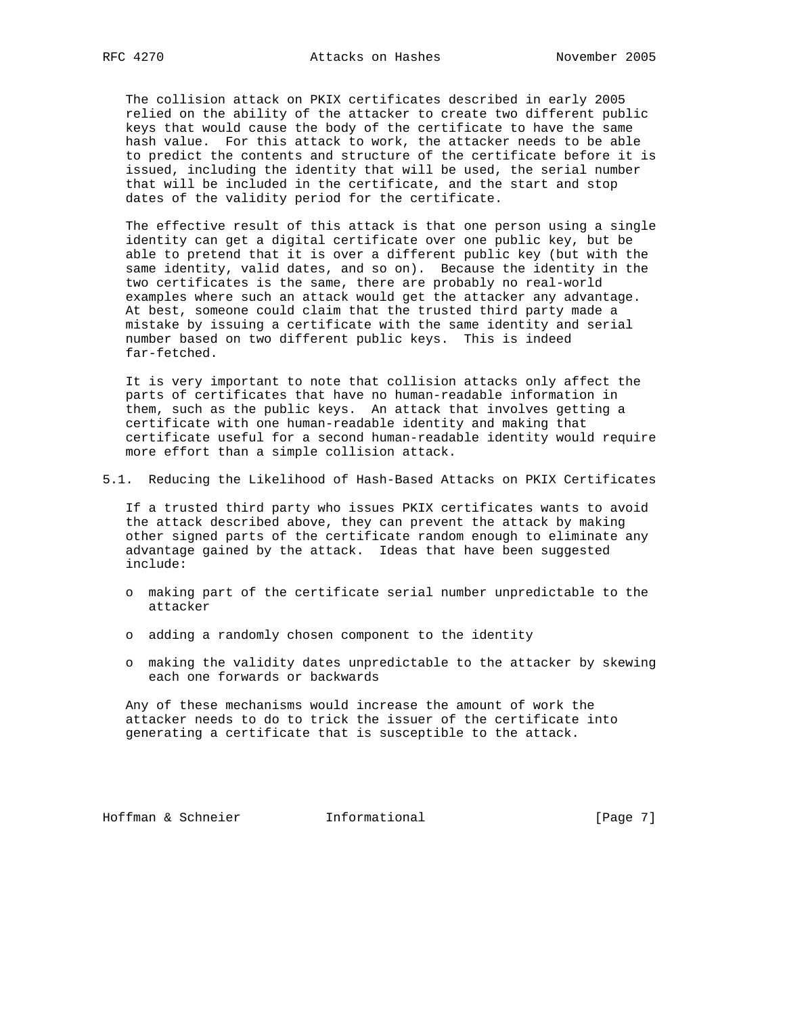The collision attack on PKIX certificates described in early 2005 relied on the ability of the attacker to create two different public keys that would cause the body of the certificate to have the same hash value. For this attack to work, the attacker needs to be able to predict the contents and structure of the certificate before it is issued, including the identity that will be used, the serial number that will be included in the certificate, and the start and stop dates of the validity period for the certificate.

 The effective result of this attack is that one person using a single identity can get a digital certificate over one public key, but be able to pretend that it is over a different public key (but with the same identity, valid dates, and so on). Because the identity in the two certificates is the same, there are probably no real-world examples where such an attack would get the attacker any advantage. At best, someone could claim that the trusted third party made a mistake by issuing a certificate with the same identity and serial number based on two different public keys. This is indeed far-fetched.

 It is very important to note that collision attacks only affect the parts of certificates that have no human-readable information in them, such as the public keys. An attack that involves getting a certificate with one human-readable identity and making that certificate useful for a second human-readable identity would require more effort than a simple collision attack.

5.1. Reducing the Likelihood of Hash-Based Attacks on PKIX Certificates

 If a trusted third party who issues PKIX certificates wants to avoid the attack described above, they can prevent the attack by making other signed parts of the certificate random enough to eliminate any advantage gained by the attack. Ideas that have been suggested include:

- o making part of the certificate serial number unpredictable to the attacker
- o adding a randomly chosen component to the identity
- o making the validity dates unpredictable to the attacker by skewing each one forwards or backwards

 Any of these mechanisms would increase the amount of work the attacker needs to do to trick the issuer of the certificate into generating a certificate that is susceptible to the attack.

Hoffman & Schneier **Informational** [Page 7]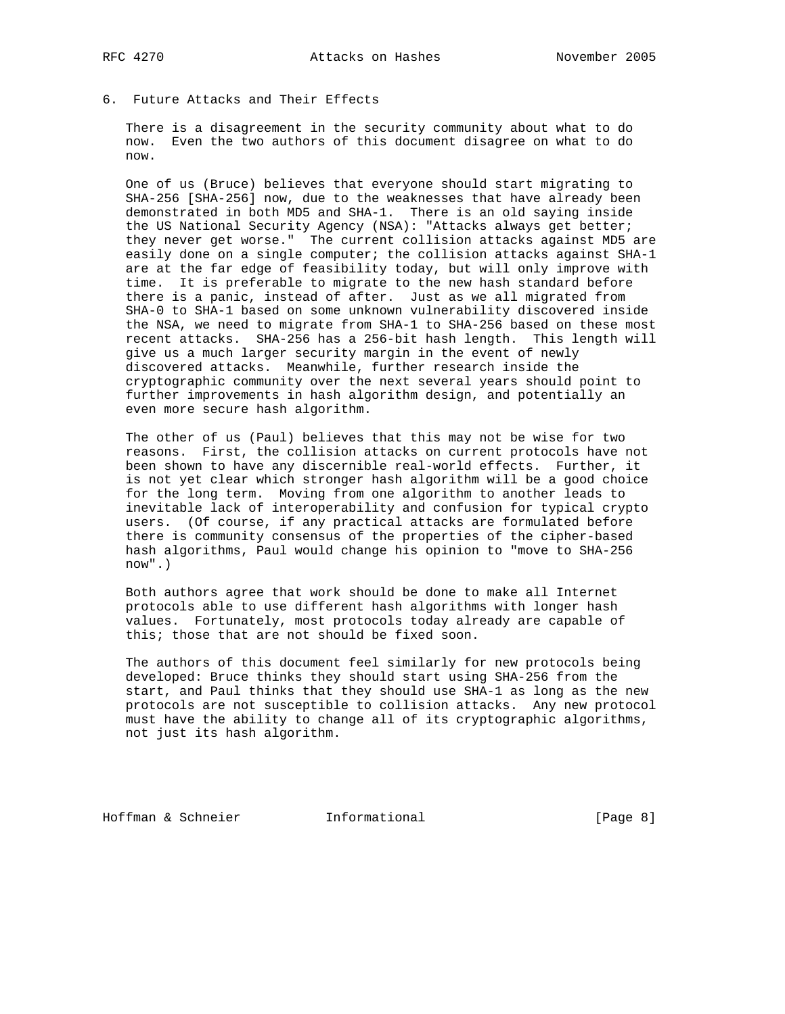6. Future Attacks and Their Effects

 There is a disagreement in the security community about what to do now. Even the two authors of this document disagree on what to do now.

 One of us (Bruce) believes that everyone should start migrating to SHA-256 [SHA-256] now, due to the weaknesses that have already been demonstrated in both MD5 and SHA-1. There is an old saying inside the US National Security Agency (NSA): "Attacks always get better; they never get worse." The current collision attacks against MD5 are easily done on a single computer; the collision attacks against SHA-1 are at the far edge of feasibility today, but will only improve with time. It is preferable to migrate to the new hash standard before there is a panic, instead of after. Just as we all migrated from SHA-0 to SHA-1 based on some unknown vulnerability discovered inside the NSA, we need to migrate from SHA-1 to SHA-256 based on these most recent attacks. SHA-256 has a 256-bit hash length. This length will give us a much larger security margin in the event of newly discovered attacks. Meanwhile, further research inside the cryptographic community over the next several years should point to further improvements in hash algorithm design, and potentially an even more secure hash algorithm.

 The other of us (Paul) believes that this may not be wise for two reasons. First, the collision attacks on current protocols have not been shown to have any discernible real-world effects. Further, it is not yet clear which stronger hash algorithm will be a good choice for the long term. Moving from one algorithm to another leads to inevitable lack of interoperability and confusion for typical crypto users. (Of course, if any practical attacks are formulated before there is community consensus of the properties of the cipher-based hash algorithms, Paul would change his opinion to "move to SHA-256 now".)

 Both authors agree that work should be done to make all Internet protocols able to use different hash algorithms with longer hash values. Fortunately, most protocols today already are capable of this; those that are not should be fixed soon.

 The authors of this document feel similarly for new protocols being developed: Bruce thinks they should start using SHA-256 from the start, and Paul thinks that they should use SHA-1 as long as the new protocols are not susceptible to collision attacks. Any new protocol must have the ability to change all of its cryptographic algorithms, not just its hash algorithm.

Hoffman & Schneier **Informational** [Page 8]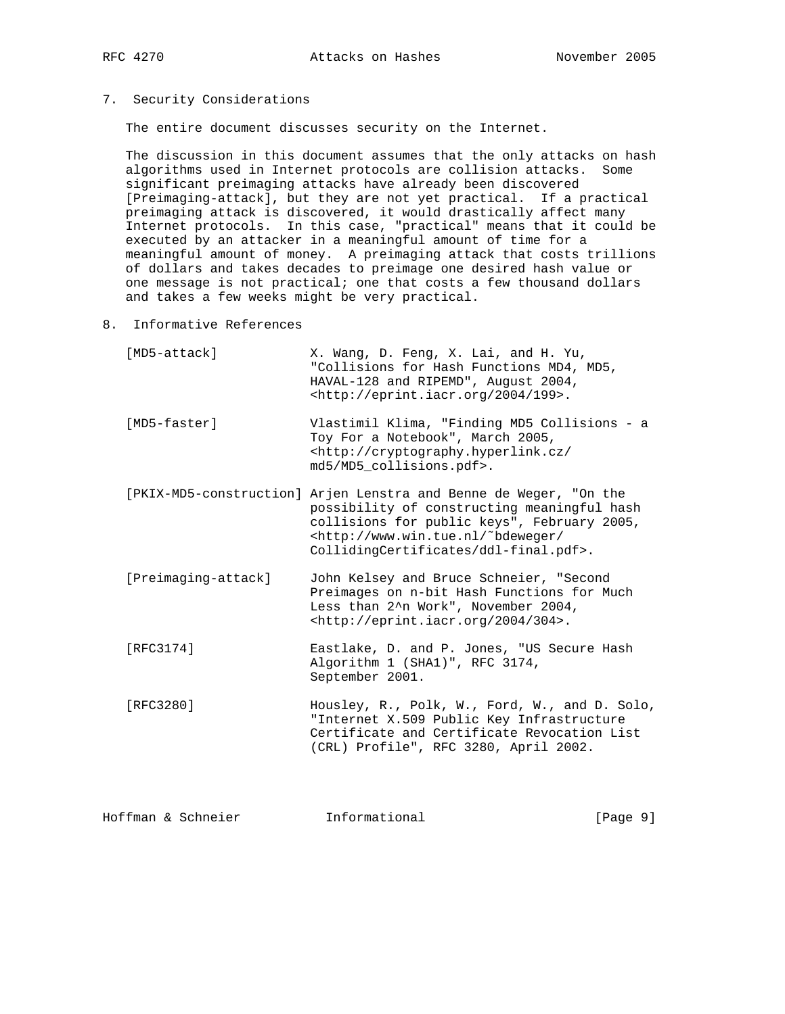## 7. Security Considerations

The entire document discusses security on the Internet.

 The discussion in this document assumes that the only attacks on hash algorithms used in Internet protocols are collision attacks. Some significant preimaging attacks have already been discovered [Preimaging-attack], but they are not yet practical. If a practical preimaging attack is discovered, it would drastically affect many Internet protocols. In this case, "practical" means that it could be executed by an attacker in a meaningful amount of time for a meaningful amount of money. A preimaging attack that costs trillions of dollars and takes decades to preimage one desired hash value or one message is not practical; one that costs a few thousand dollars and takes a few weeks might be very practical.

8. Informative References

| [MD5-attack] | X. Wang, D. Feng, X. Lai, and H. Yu,       |
|--------------|--------------------------------------------|
|              | "Collisions for Hash Functions MD4, MD5,   |
|              | HAVAL-128 and RIPEMD", August 2004,        |
|              | $\kappa$ http://eprint.iacr.org/2004/199>. |

 [MD5-faster] Vlastimil Klima, "Finding MD5 Collisions - a Toy For a Notebook", March 2005, <http://cryptography.hyperlink.cz/ md5/MD5\_collisions.pdf>.

 [PKIX-MD5-construction] Arjen Lenstra and Benne de Weger, "On the possibility of constructing meaningful hash collisions for public keys", February 2005, <http://www.win.tue.nl/˜bdeweger/ CollidingCertificates/ddl-final.pdf>.

 [Preimaging-attack] John Kelsey and Bruce Schneier, "Second Preimages on n-bit Hash Functions for Much Less than 2^n Work", November 2004, <http://eprint.iacr.org/2004/304>.

- [RFC3174] Eastlake, D. and P. Jones, "US Secure Hash Algorithm 1 (SHA1)", RFC 3174, September 2001.
- [RFC3280] Housley, R., Polk, W., Ford, W., and D. Solo, "Internet X.509 Public Key Infrastructure Certificate and Certificate Revocation List (CRL) Profile", RFC 3280, April 2002.

Hoffman & Schneier **Informational** [Page 9]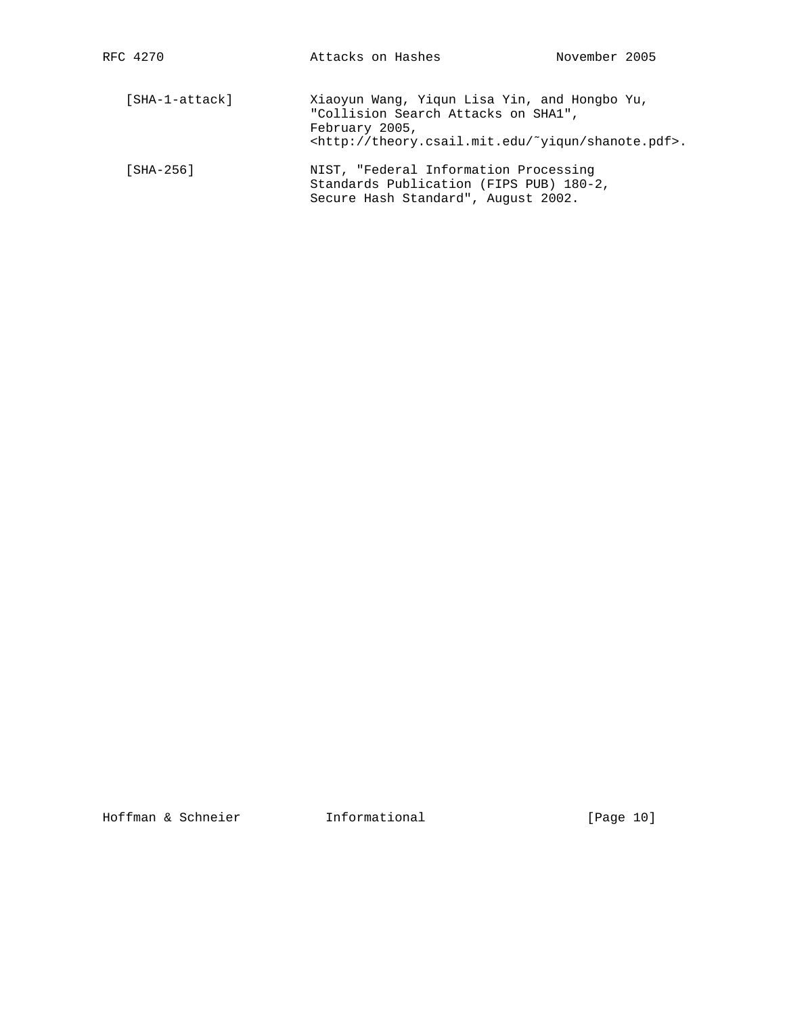| [SHA-1-attack] | Xiaoyun Wang, Yiqun Lisa Yin, and Hongbo Yu,<br>"Collision Search Attacks on SHA1",<br>February 2005,<br><http: shanote.pdf="" theory.csail.mit.edu="" ~yiqun="">.</http:> |
|----------------|----------------------------------------------------------------------------------------------------------------------------------------------------------------------------|
| [SHA-256]      | NIST, "Federal Information Processing<br>Standards Publication (FIPS PUB) 180-2,<br>Secure Hash Standard", August 2002.                                                    |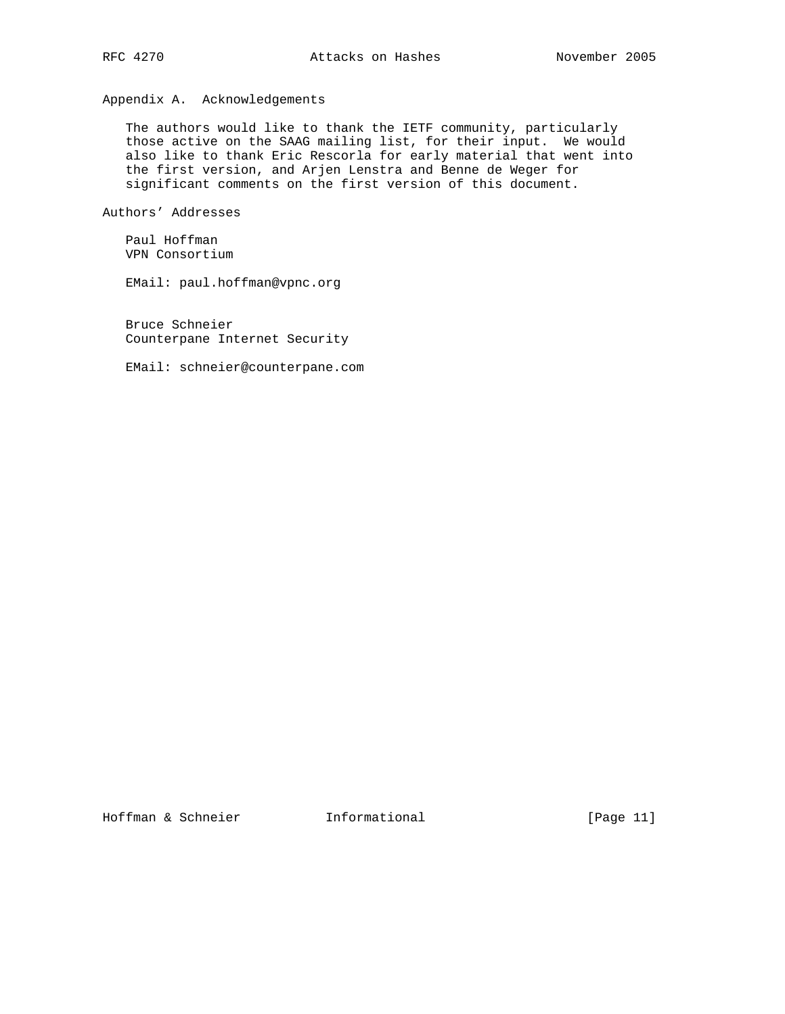Appendix A. Acknowledgements

 The authors would like to thank the IETF community, particularly those active on the SAAG mailing list, for their input. We would also like to thank Eric Rescorla for early material that went into the first version, and Arjen Lenstra and Benne de Weger for significant comments on the first version of this document.

Authors' Addresses

 Paul Hoffman VPN Consortium

EMail: paul.hoffman@vpnc.org

 Bruce Schneier Counterpane Internet Security

EMail: schneier@counterpane.com